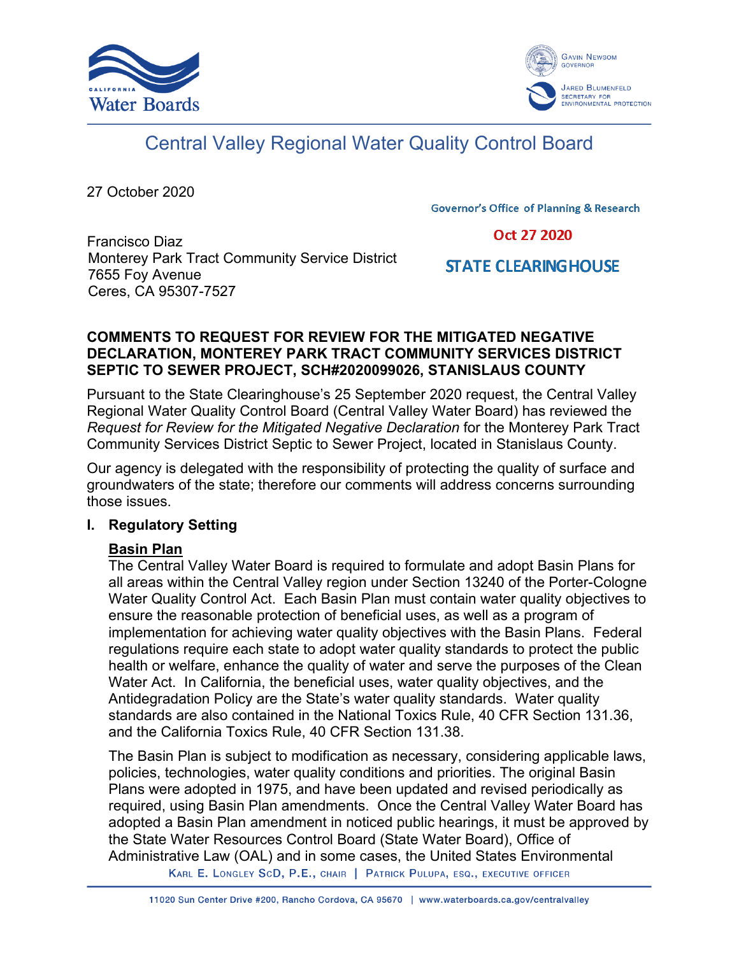



# Central Valley Regional Water Quality Control Board

27 October 2020

**Governor's Office of Planning & Research** 

Oct 27 2020

Francisco Diaz Monterey Park Tract Community Service District 7655 Foy Avenue Ceres, CA 95307-7527

**STATE CLEARING HOUSE** 

#### **COMMENTS TO REQUEST FOR REVIEW FOR THE MITIGATED NEGATIVE DECLARATION, MONTEREY PARK TRACT COMMUNITY SERVICES DISTRICT SEPTIC TO SEWER PROJECT, SCH#2020099026, STANISLAUS COUNTY**

Pursuant to the State Clearinghouse's 25 September 2020 request, the Central Valley Regional Water Quality Control Board (Central Valley Water Board) has reviewed the *Request for Review for the Mitigated Negative Declaration* for the Monterey Park Tract Community Services District Septic to Sewer Project, located in Stanislaus County.

Our agency is delegated with the responsibility of protecting the quality of surface and groundwaters of the state; therefore our comments will address concerns surrounding those issues.

#### **I. Regulatory Setting**

#### **Basin Plan**

The Central Valley Water Board is required to formulate and adopt Basin Plans for all areas within the Central Valley region under Section 13240 of the Porter-Cologne Water Quality Control Act. Each Basin Plan must contain water quality objectives to ensure the reasonable protection of beneficial uses, as well as a program of implementation for achieving water quality objectives with the Basin Plans. Federal regulations require each state to adopt water quality standards to protect the public health or welfare, enhance the quality of water and serve the purposes of the Clean Water Act. In California, the beneficial uses, water quality objectives, and the Antidegradation Policy are the State's water quality standards. Water quality standards are also contained in the National Toxics Rule, 40 CFR Section 131.36, and the California Toxics Rule, 40 CFR Section 131.38.

The Basin Plan is subject to modification as necessary, considering applicable laws, policies, technologies, water quality conditions and priorities. The original Basin Plans were adopted in 1975, and have been updated and revised periodically as required, using Basin Plan amendments. Once the Central Valley Water Board has adopted a Basin Plan amendment in noticed public hearings, it must be approved by the State Water Resources Control Board (State Water Board), Office of Administrative Law (OAL) and in some cases, the United States Environmental

KARL E. LONGLEY SCD, P.E., CHAIR | PATRICK PULUPA, ESQ., EXECUTIVE OFFICER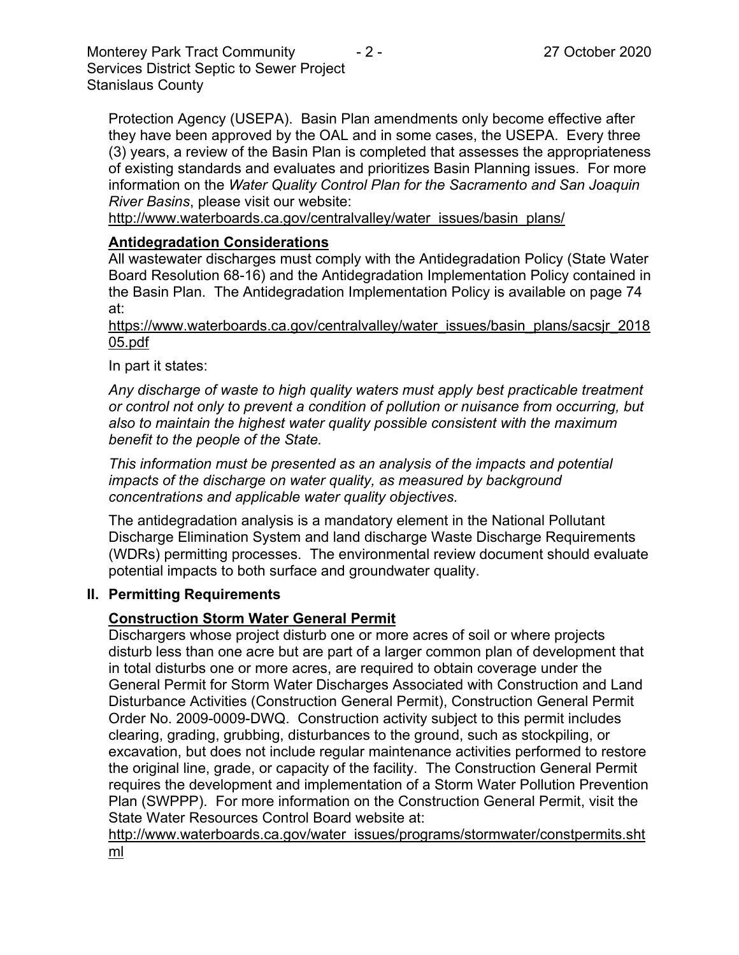Monterey Park Tract Community  $\overline{2}$  - 2 - 27 October 2020 Services District Septic to Sewer Project Stanislaus County

Protection Agency (USEPA). Basin Plan amendments only become effective after they have been approved by the OAL and in some cases, the USEPA. Every three (3) years, a review of the Basin Plan is completed that assesses the appropriateness of existing standards and evaluates and prioritizes Basin Planning issues. For more information on the *Water Quality Control Plan for the Sacramento and San Joaquin River Basins*, please visit our website:

[http://www.waterboards.ca.gov/centralvalley/water\\_issues/basin\\_plans/](http://www.waterboards.ca.gov/centralvalley/water_issues/basin_plans/)

#### **Antidegradation Considerations**

All wastewater discharges must comply with the Antidegradation Policy (State Water Board Resolution 68-16) and the Antidegradation Implementation Policy contained in the Basin Plan. The Antidegradation Implementation Policy is available on page 74 at:

https://www.waterboards.ca.gov/centralvalley/water\_issues/basin\_plans/sacsjr\_2018 05.pdf

In part it states:

*Any discharge of waste to high quality waters must apply best practicable treatment or control not only to prevent a condition of pollution or nuisance from occurring, but also to maintain the highest water quality possible consistent with the maximum benefit to the people of the State.*

*This information must be presented as an analysis of the impacts and potential impacts of the discharge on water quality, as measured by background concentrations and applicable water quality objectives.*

The antidegradation analysis is a mandatory element in the National Pollutant Discharge Elimination System and land discharge Waste Discharge Requirements (WDRs) permitting processes. The environmental review document should evaluate potential impacts to both surface and groundwater quality.

#### **II. Permitting Requirements**

#### **Construction Storm Water General Permit**

Dischargers whose project disturb one or more acres of soil or where projects disturb less than one acre but are part of a larger common plan of development that in total disturbs one or more acres, are required to obtain coverage under the General Permit for Storm Water Discharges Associated with Construction and Land Disturbance Activities (Construction General Permit), Construction General Permit Order No. 2009-0009-DWQ. Construction activity subject to this permit includes clearing, grading, grubbing, disturbances to the ground, such as stockpiling, or excavation, but does not include regular maintenance activities performed to restore the original line, grade, or capacity of the facility. The Construction General Permit requires the development and implementation of a Storm Water Pollution Prevention Plan (SWPPP). For more information on the Construction General Permit, visit the State Water Resources Control Board website at:

[http://www.waterboards.ca.gov/water\\_issues/programs/stormwater/constpermits.sht](http://www.waterboards.ca.gov/water_issues/programs/stormwater/constpermits.shtml) [ml](http://www.waterboards.ca.gov/water_issues/programs/stormwater/constpermits.shtml)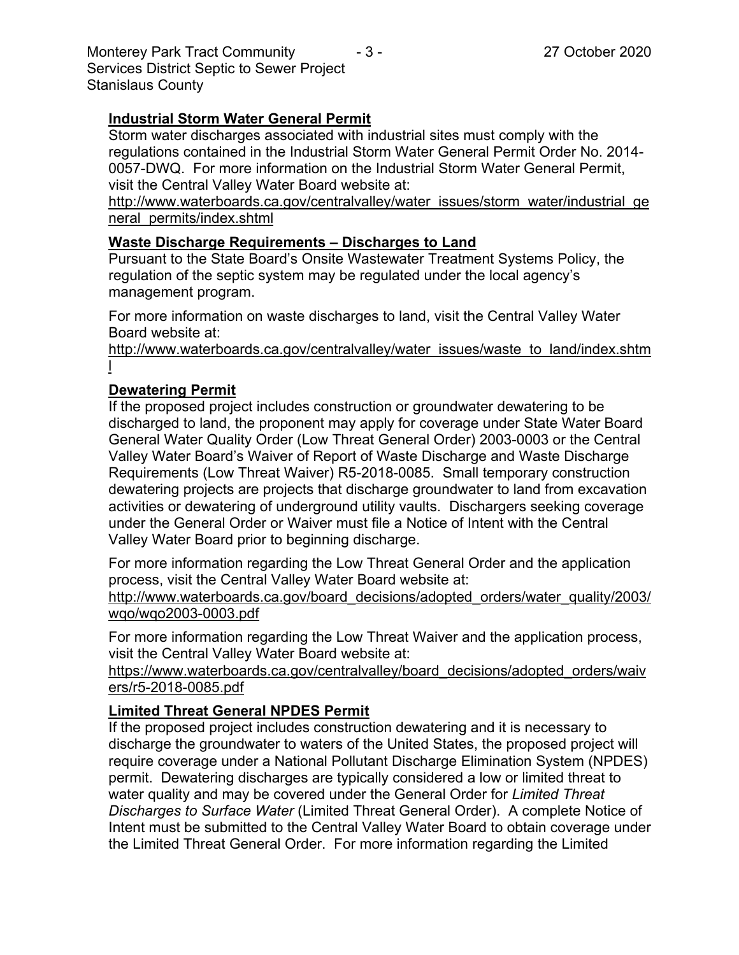Monterey Park Tract Community  $\overline{a}$  - 3 - 27 October 2020 Services District Septic to Sewer Project Stanislaus County

## **Industrial Storm Water General Permit**

Storm water discharges associated with industrial sites must comply with the regulations contained in the Industrial Storm Water General Permit Order No. 2014- 0057-DWQ. For more information on the Industrial Storm Water General Permit, visit the Central Valley Water Board website at:

http://www.waterboards.ca.gov/centralvalley/water\_issues/storm\_water/industrial\_ge neral\_permits/index.shtml

### **Waste Discharge Requirements – Discharges to Land**

Pursuant to the State Board's Onsite Wastewater Treatment Systems Policy, the regulation of the septic system may be regulated under the local agency's management program.

For more information on waste discharges to land, visit the Central Valley Water Board website at:

http://www.waterboards.ca.gov/centralvalley/water\_issues/waste\_to\_land/index.shtm l

## **Dewatering Permit**

If the proposed project includes construction or groundwater dewatering to be discharged to land, the proponent may apply for coverage under State Water Board General Water Quality Order (Low Threat General Order) 2003-0003 or the Central Valley Water Board's Waiver of Report of Waste Discharge and Waste Discharge Requirements (Low Threat Waiver) R5-2018-0085. Small temporary construction dewatering projects are projects that discharge groundwater to land from excavation activities or dewatering of underground utility vaults. Dischargers seeking coverage under the General Order or Waiver must file a Notice of Intent with the Central Valley Water Board prior to beginning discharge.

For more information regarding the Low Threat General Order and the application process, visit the Central Valley Water Board website at: http://www.waterboards.ca.gov/board decisions/adopted orders/water quality/2003/ wqo/wqo2003-0003.pdf

For more information regarding the Low Threat Waiver and the application process, visit the Central Valley Water Board website at:

https://www.waterboards.ca.gov/centralvalley/board\_decisions/adopted\_orders/waiv ers/r5-2018-0085.pdf

## **Limited Threat General NPDES Permit**

If the proposed project includes construction dewatering and it is necessary to discharge the groundwater to waters of the United States, the proposed project will require coverage under a National Pollutant Discharge Elimination System (NPDES) permit. Dewatering discharges are typically considered a low or limited threat to water quality and may be covered under the General Order for *Limited Threat Discharges to Surface Water* (Limited Threat General Order). A complete Notice of Intent must be submitted to the Central Valley Water Board to obtain coverage under the Limited Threat General Order. For more information regarding the Limited